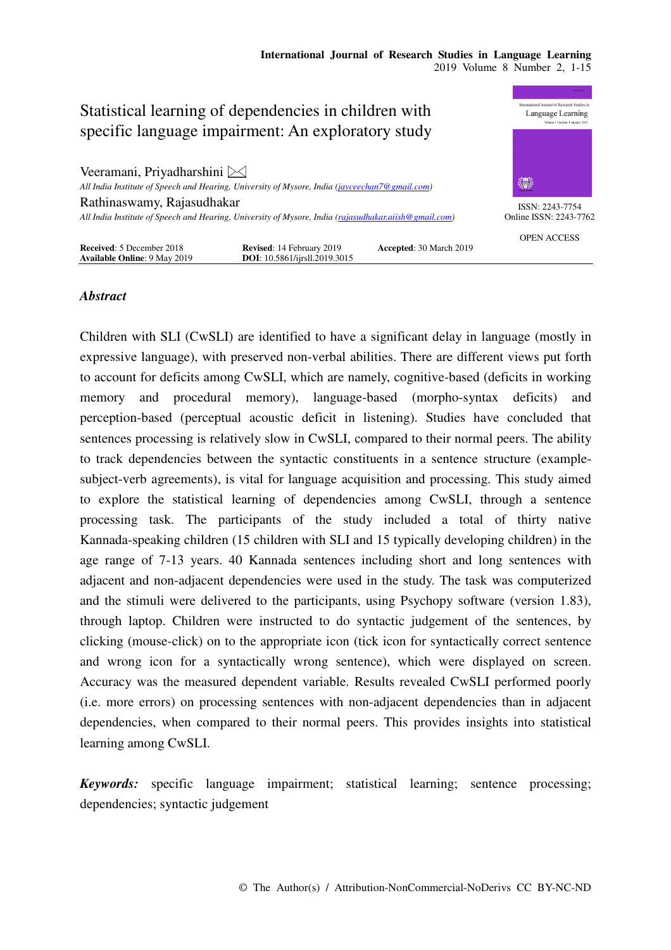

# *Abstract*

Children with SLI (CwSLI) are identified to have a significant delay in language (mostly in expressive language), with preserved non-verbal abilities. There are different views put forth to account for deficits among CwSLI, which are namely, cognitive-based (deficits in working memory and procedural memory), language-based (morpho-syntax deficits) and perception-based (perceptual acoustic deficit in listening). Studies have concluded that sentences processing is relatively slow in CwSLI, compared to their normal peers. The ability to track dependencies between the syntactic constituents in a sentence structure (examplesubject-verb agreements), is vital for language acquisition and processing. This study aimed to explore the statistical learning of dependencies among CwSLI, through a sentence processing task. The participants of the study included a total of thirty native Kannada-speaking children (15 children with SLI and 15 typically developing children) in the age range of 7-13 years. 40 Kannada sentences including short and long sentences with adjacent and non-adjacent dependencies were used in the study. The task was computerized and the stimuli were delivered to the participants, using Psychopy software (version 1.83), through laptop. Children were instructed to do syntactic judgement of the sentences, by clicking (mouse-click) on to the appropriate icon (tick icon for syntactically correct sentence and wrong icon for a syntactically wrong sentence), which were displayed on screen. Accuracy was the measured dependent variable. Results revealed CwSLI performed poorly (i.e. more errors) on processing sentences with non-adjacent dependencies than in adjacent dependencies, when compared to their normal peers. This provides insights into statistical learning among CwSLI.

*Keywords:* specific language impairment; statistical learning; sentence processing; dependencies; syntactic judgement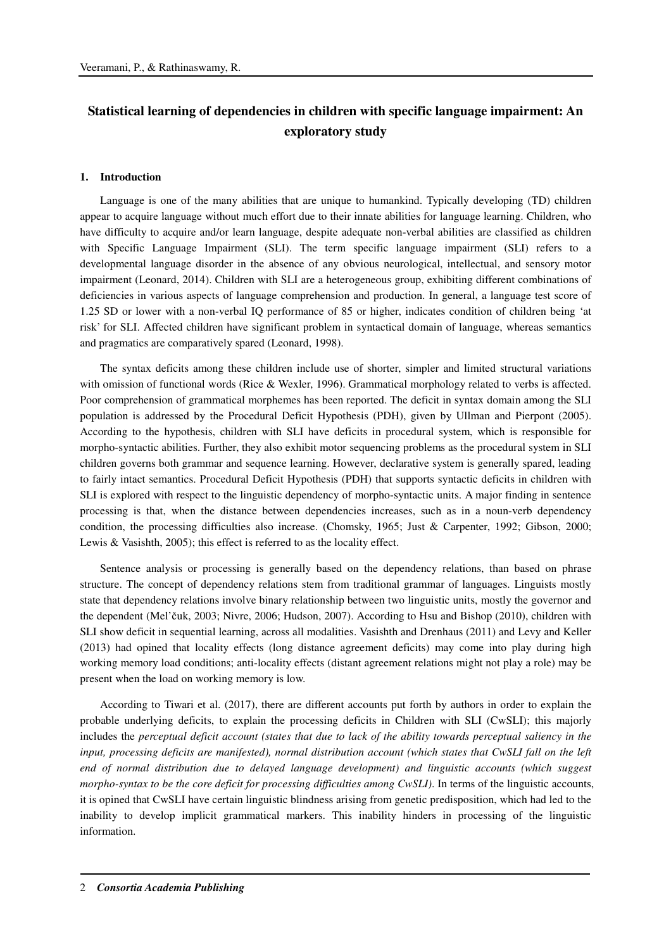# **Statistical learning of dependencies in children with specific language impairment: An exploratory study**

### **1. Introduction**

Language is one of the many abilities that are unique to humankind. Typically developing (TD) children appear to acquire language without much effort due to their innate abilities for language learning. Children, who have difficulty to acquire and/or learn language, despite adequate non-verbal abilities are classified as children with Specific Language Impairment (SLI). The term specific language impairment (SLI) refers to a developmental language disorder in the absence of any obvious neurological, intellectual, and sensory motor impairment (Leonard, 2014). Children with SLI are a heterogeneous group, exhibiting different combinations of deficiencies in various aspects of language comprehension and production. In general, a language test score of 1.25 SD or lower with a non-verbal IQ performance of 85 or higher, indicates condition of children being 'at risk' for SLI. Affected children have significant problem in syntactical domain of language, whereas semantics and pragmatics are comparatively spared (Leonard, 1998).

The syntax deficits among these children include use of shorter, simpler and limited structural variations with omission of functional words (Rice & Wexler, 1996). Grammatical morphology related to verbs is affected. Poor comprehension of grammatical morphemes has been reported. The deficit in syntax domain among the SLI population is addressed by the Procedural Deficit Hypothesis (PDH), given by Ullman and Pierpont (2005). According to the hypothesis, children with SLI have deficits in procedural system, which is responsible for morpho-syntactic abilities. Further, they also exhibit motor sequencing problems as the procedural system in SLI children governs both grammar and sequence learning. However, declarative system is generally spared, leading to fairly intact semantics. Procedural Deficit Hypothesis (PDH) that supports syntactic deficits in children with SLI is explored with respect to the linguistic dependency of morpho-syntactic units. A major finding in sentence processing is that, when the distance between dependencies increases, such as in a noun-verb dependency condition, the processing difficulties also increase. (Chomsky, 1965; Just & Carpenter, 1992; Gibson, 2000; Lewis & Vasishth, 2005); this effect is referred to as the locality effect.

Sentence analysis or processing is generally based on the dependency relations, than based on phrase structure. The concept of dependency relations stem from traditional grammar of languages. Linguists mostly state that dependency relations involve binary relationship between two linguistic units, mostly the governor and the dependent (Mel'čuk, 2003; Nivre, 2006; Hudson, 2007). According to Hsu and Bishop (2010), children with SLI show deficit in sequential learning, across all modalities. Vasishth and Drenhaus (2011) and Levy and Keller (2013) had opined that locality effects (long distance agreement deficits) may come into play during high working memory load conditions; anti-locality effects (distant agreement relations might not play a role) may be present when the load on working memory is low.

According to Tiwari et al. (2017), there are different accounts put forth by authors in order to explain the probable underlying deficits, to explain the processing deficits in Children with SLI (CwSLI); this majorly includes the *perceptual deficit account (states that due to lack of the ability towards perceptual saliency in the input, processing deficits are manifested), normal distribution account (which states that CwSLI fall on the left end of normal distribution due to delayed language development) and linguistic accounts (which suggest morpho-syntax to be the core deficit for processing difficulties among CwSLI)*. In terms of the linguistic accounts, it is opined that CwSLI have certain linguistic blindness arising from genetic predisposition, which had led to the inability to develop implicit grammatical markers. This inability hinders in processing of the linguistic information.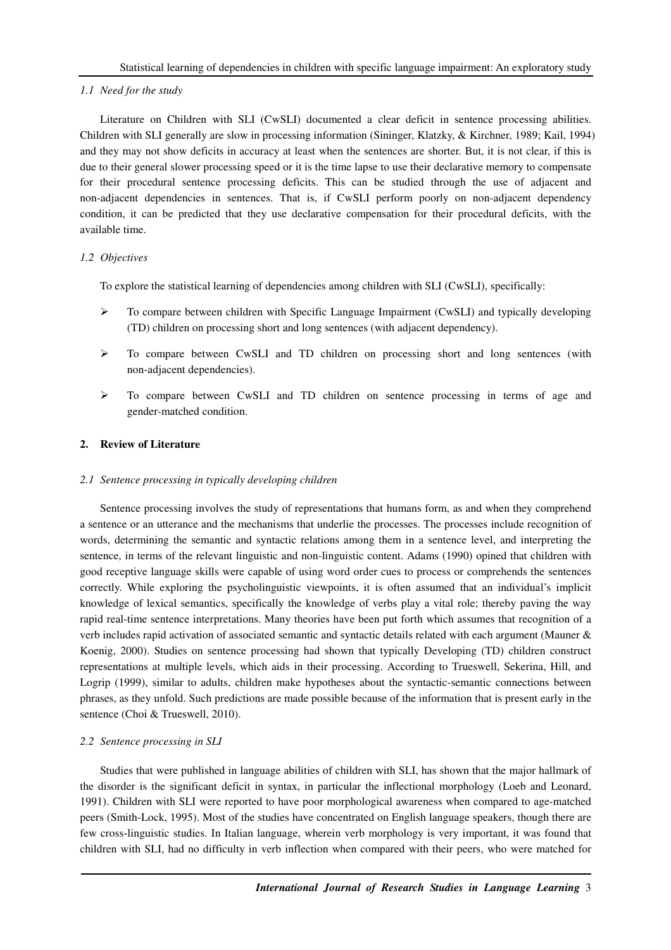# *1.1 Need for the study*

Literature on Children with SLI (CwSLI) documented a clear deficit in sentence processing abilities. Children with SLI generally are slow in processing information (Sininger, Klatzky, & Kirchner, 1989; Kail, 1994) and they may not show deficits in accuracy at least when the sentences are shorter. But, it is not clear, if this is due to their general slower processing speed or it is the time lapse to use their declarative memory to compensate for their procedural sentence processing deficits. This can be studied through the use of adjacent and non-adjacent dependencies in sentences. That is, if CwSLI perform poorly on non-adjacent dependency condition, it can be predicted that they use declarative compensation for their procedural deficits, with the available time.

# *1.2 Objectives*

To explore the statistical learning of dependencies among children with SLI (CwSLI), specifically:

- To compare between children with Specific Language Impairment (CwSLI) and typically developing (TD) children on processing short and long sentences (with adjacent dependency).
- $\triangleright$  To compare between CwSLI and TD children on processing short and long sentences (with non-adjacent dependencies).
- $\triangleright$  To compare between CwSLI and TD children on sentence processing in terms of age and gender-matched condition.

# **2. Review of Literature**

# *2.1 Sentence processing in typically developing children*

Sentence processing involves the study of representations that humans form, as and when they comprehend a sentence or an utterance and the mechanisms that underlie the processes. The processes include recognition of words, determining the semantic and syntactic relations among them in a sentence level, and interpreting the sentence, in terms of the relevant linguistic and non-linguistic content. Adams (1990) opined that children with good receptive language skills were capable of using word order cues to process or comprehends the sentences correctly. While exploring the psycholinguistic viewpoints, it is often assumed that an individual's implicit knowledge of lexical semantics, specifically the knowledge of verbs play a vital role; thereby paving the way rapid real-time sentence interpretations. Many theories have been put forth which assumes that recognition of a verb includes rapid activation of associated semantic and syntactic details related with each argument (Mauner & Koenig, 2000). Studies on sentence processing had shown that typically Developing (TD) children construct representations at multiple levels, which aids in their processing. According to Trueswell, Sekerina, Hill, and Logrip (1999), similar to adults, children make hypotheses about the syntactic-semantic connections between phrases, as they unfold. Such predictions are made possible because of the information that is present early in the sentence (Choi & Trueswell, 2010).

# *2.2 Sentence processing in SLI*

Studies that were published in language abilities of children with SLI, has shown that the major hallmark of the disorder is the significant deficit in syntax, in particular the inflectional morphology (Loeb and Leonard, 1991). Children with SLI were reported to have poor morphological awareness when compared to age-matched peers (Smith-Lock, 1995). Most of the studies have concentrated on English language speakers, though there are few cross-linguistic studies. In Italian language, wherein verb morphology is very important, it was found that children with SLI, had no difficulty in verb inflection when compared with their peers, who were matched for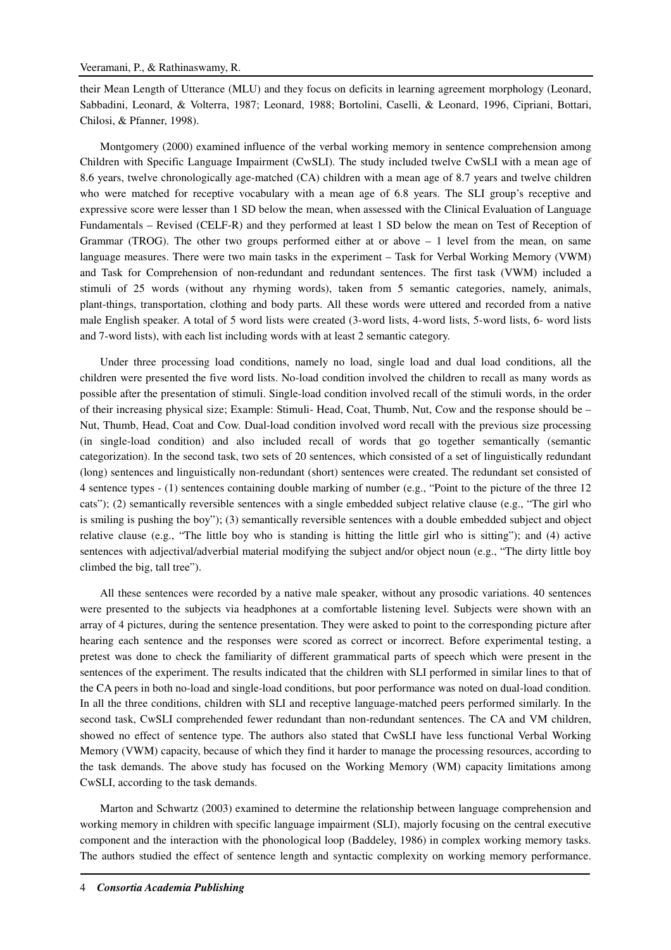their Mean Length of Utterance (MLU) and they focus on deficits in learning agreement morphology (Leonard, Sabbadini, Leonard, & Volterra, 1987; Leonard, 1988; Bortolini, Caselli, & Leonard, 1996, Cipriani, Bottari, Chilosi, & Pfanner, 1998).

Montgomery (2000) examined influence of the verbal working memory in sentence comprehension among Children with Specific Language Impairment (CwSLI). The study included twelve CwSLI with a mean age of 8.6 years, twelve chronologically age-matched (CA) children with a mean age of 8.7 years and twelve children who were matched for receptive vocabulary with a mean age of 6.8 years. The SLI group's receptive and expressive score were lesser than 1 SD below the mean, when assessed with the Clinical Evaluation of Language Fundamentals – Revised (CELF-R) and they performed at least 1 SD below the mean on Test of Reception of Grammar (TROG). The other two groups performed either at or above  $-1$  level from the mean, on same language measures. There were two main tasks in the experiment – Task for Verbal Working Memory (VWM) and Task for Comprehension of non-redundant and redundant sentences. The first task (VWM) included a stimuli of 25 words (without any rhyming words), taken from 5 semantic categories, namely, animals, plant-things, transportation, clothing and body parts. All these words were uttered and recorded from a native male English speaker. A total of 5 word lists were created (3-word lists, 4-word lists, 5-word lists, 6- word lists and 7-word lists), with each list including words with at least 2 semantic category.

Under three processing load conditions, namely no load, single load and dual load conditions, all the children were presented the five word lists. No-load condition involved the children to recall as many words as possible after the presentation of stimuli. Single-load condition involved recall of the stimuli words, in the order of their increasing physical size; Example: Stimuli- Head, Coat, Thumb, Nut, Cow and the response should be – Nut, Thumb, Head, Coat and Cow. Dual-load condition involved word recall with the previous size processing (in single-load condition) and also included recall of words that go together semantically (semantic categorization). In the second task, two sets of 20 sentences, which consisted of a set of linguistically redundant (long) sentences and linguistically non-redundant (short) sentences were created. The redundant set consisted of 4 sentence types - (1) sentences containing double marking of number (e.g., "Point to the picture of the three 12 cats"); (2) semantically reversible sentences with a single embedded subject relative clause (e.g., "The girl who is smiling is pushing the boy"); (3) semantically reversible sentences with a double embedded subject and object relative clause (e.g., "The little boy who is standing is hitting the little girl who is sitting"); and (4) active sentences with adjectival/adverbial material modifying the subject and/or object noun (e.g., "The dirty little boy climbed the big, tall tree").

All these sentences were recorded by a native male speaker, without any prosodic variations. 40 sentences were presented to the subjects via headphones at a comfortable listening level. Subjects were shown with an array of 4 pictures, during the sentence presentation. They were asked to point to the corresponding picture after hearing each sentence and the responses were scored as correct or incorrect. Before experimental testing, a pretest was done to check the familiarity of different grammatical parts of speech which were present in the sentences of the experiment. The results indicated that the children with SLI performed in similar lines to that of the CA peers in both no-load and single-load conditions, but poor performance was noted on dual-load condition. In all the three conditions, children with SLI and receptive language-matched peers performed similarly. In the second task, CwSLI comprehended fewer redundant than non-redundant sentences. The CA and VM children, showed no effect of sentence type. The authors also stated that CwSLI have less functional Verbal Working Memory (VWM) capacity, because of which they find it harder to manage the processing resources, according to the task demands. The above study has focused on the Working Memory (WM) capacity limitations among CwSLI, according to the task demands.

Marton and Schwartz (2003) examined to determine the relationship between language comprehension and working memory in children with specific language impairment (SLI), majorly focusing on the central executive component and the interaction with the phonological loop (Baddeley, 1986) in complex working memory tasks. The authors studied the effect of sentence length and syntactic complexity on working memory performance.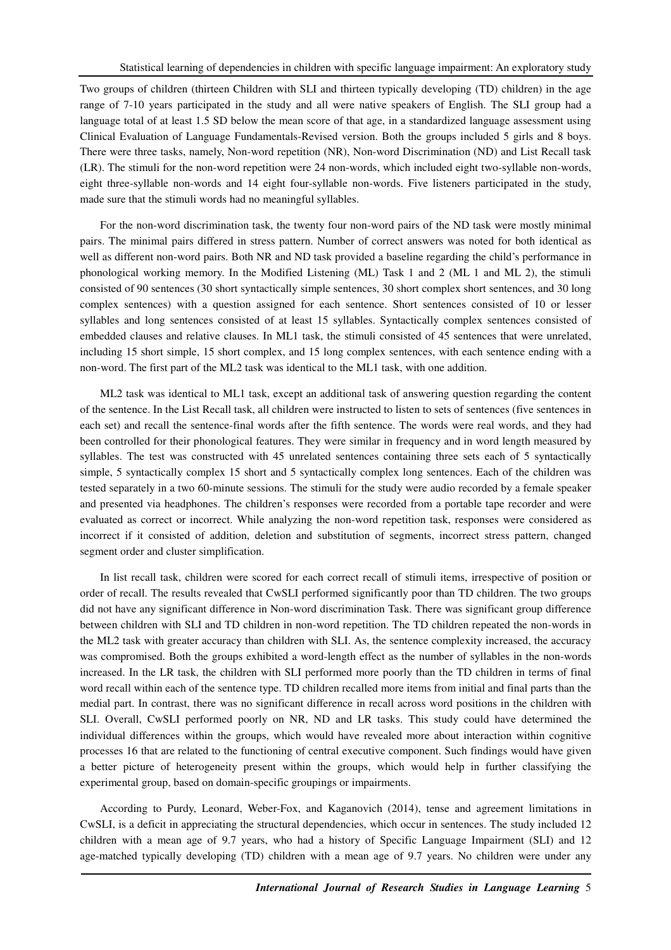Two groups of children (thirteen Children with SLI and thirteen typically developing (TD) children) in the age range of 7-10 years participated in the study and all were native speakers of English. The SLI group had a language total of at least 1.5 SD below the mean score of that age, in a standardized language assessment using Clinical Evaluation of Language Fundamentals-Revised version. Both the groups included 5 girls and 8 boys. There were three tasks, namely, Non-word repetition (NR), Non-word Discrimination (ND) and List Recall task (LR). The stimuli for the non-word repetition were 24 non-words, which included eight two-syllable non-words, eight three-syllable non-words and 14 eight four-syllable non-words. Five listeners participated in the study, made sure that the stimuli words had no meaningful syllables.

For the non-word discrimination task, the twenty four non-word pairs of the ND task were mostly minimal pairs. The minimal pairs differed in stress pattern. Number of correct answers was noted for both identical as well as different non-word pairs. Both NR and ND task provided a baseline regarding the child's performance in phonological working memory. In the Modified Listening (ML) Task 1 and 2 (ML 1 and ML 2), the stimuli consisted of 90 sentences (30 short syntactically simple sentences, 30 short complex short sentences, and 30 long complex sentences) with a question assigned for each sentence. Short sentences consisted of 10 or lesser syllables and long sentences consisted of at least 15 syllables. Syntactically complex sentences consisted of embedded clauses and relative clauses. In ML1 task, the stimuli consisted of 45 sentences that were unrelated, including 15 short simple, 15 short complex, and 15 long complex sentences, with each sentence ending with a non-word. The first part of the ML2 task was identical to the ML1 task, with one addition.

ML2 task was identical to ML1 task, except an additional task of answering question regarding the content of the sentence. In the List Recall task, all children were instructed to listen to sets of sentences (five sentences in each set) and recall the sentence-final words after the fifth sentence. The words were real words, and they had been controlled for their phonological features. They were similar in frequency and in word length measured by syllables. The test was constructed with 45 unrelated sentences containing three sets each of 5 syntactically simple, 5 syntactically complex 15 short and 5 syntactically complex long sentences. Each of the children was tested separately in a two 60-minute sessions. The stimuli for the study were audio recorded by a female speaker and presented via headphones. The children's responses were recorded from a portable tape recorder and were evaluated as correct or incorrect. While analyzing the non-word repetition task, responses were considered as incorrect if it consisted of addition, deletion and substitution of segments, incorrect stress pattern, changed segment order and cluster simplification.

In list recall task, children were scored for each correct recall of stimuli items, irrespective of position or order of recall. The results revealed that CwSLI performed significantly poor than TD children. The two groups did not have any significant difference in Non-word discrimination Task. There was significant group difference between children with SLI and TD children in non-word repetition. The TD children repeated the non-words in the ML2 task with greater accuracy than children with SLI. As, the sentence complexity increased, the accuracy was compromised. Both the groups exhibited a word-length effect as the number of syllables in the non-words increased. In the LR task, the children with SLI performed more poorly than the TD children in terms of final word recall within each of the sentence type. TD children recalled more items from initial and final parts than the medial part. In contrast, there was no significant difference in recall across word positions in the children with SLI. Overall, CwSLI performed poorly on NR, ND and LR tasks. This study could have determined the individual differences within the groups, which would have revealed more about interaction within cognitive processes 16 that are related to the functioning of central executive component. Such findings would have given a better picture of heterogeneity present within the groups, which would help in further classifying the experimental group, based on domain-specific groupings or impairments.

According to Purdy, Leonard, Weber-Fox, and Kaganovich (2014), tense and agreement limitations in CwSLI, is a deficit in appreciating the structural dependencies, which occur in sentences. The study included 12 children with a mean age of 9.7 years, who had a history of Specific Language Impairment (SLI) and 12 age-matched typically developing (TD) children with a mean age of 9.7 years. No children were under any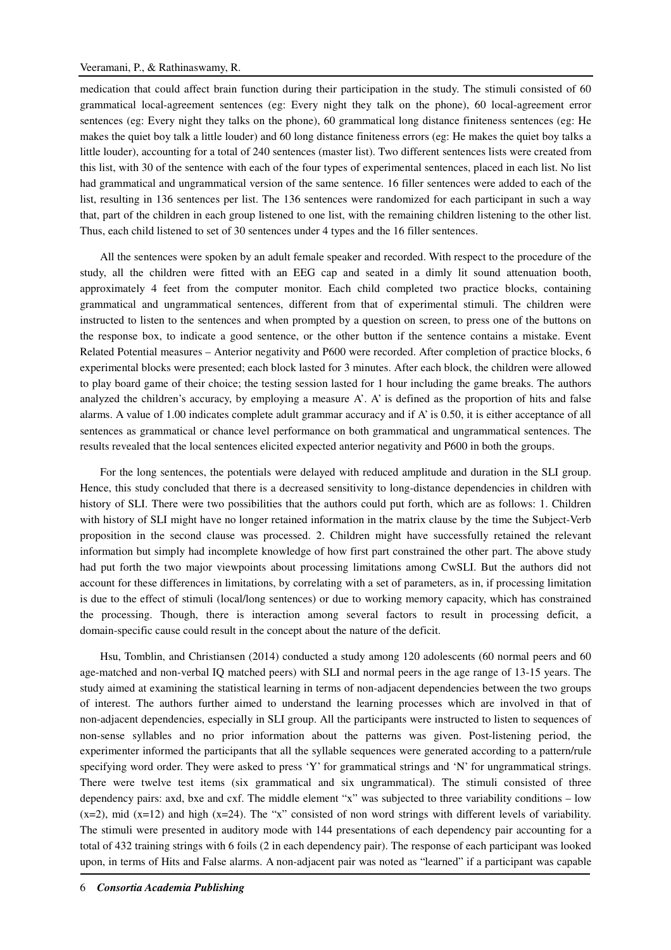medication that could affect brain function during their participation in the study. The stimuli consisted of 60 grammatical local-agreement sentences (eg: Every night they talk on the phone), 60 local-agreement error sentences (eg: Every night they talks on the phone), 60 grammatical long distance finiteness sentences (eg: He makes the quiet boy talk a little louder) and 60 long distance finiteness errors (eg: He makes the quiet boy talks a little louder), accounting for a total of 240 sentences (master list). Two different sentences lists were created from this list, with 30 of the sentence with each of the four types of experimental sentences, placed in each list. No list had grammatical and ungrammatical version of the same sentence. 16 filler sentences were added to each of the list, resulting in 136 sentences per list. The 136 sentences were randomized for each participant in such a way that, part of the children in each group listened to one list, with the remaining children listening to the other list. Thus, each child listened to set of 30 sentences under 4 types and the 16 filler sentences.

All the sentences were spoken by an adult female speaker and recorded. With respect to the procedure of the study, all the children were fitted with an EEG cap and seated in a dimly lit sound attenuation booth, approximately 4 feet from the computer monitor. Each child completed two practice blocks, containing grammatical and ungrammatical sentences, different from that of experimental stimuli. The children were instructed to listen to the sentences and when prompted by a question on screen, to press one of the buttons on the response box, to indicate a good sentence, or the other button if the sentence contains a mistake. Event Related Potential measures – Anterior negativity and P600 were recorded. After completion of practice blocks, 6 experimental blocks were presented; each block lasted for 3 minutes. After each block, the children were allowed to play board game of their choice; the testing session lasted for 1 hour including the game breaks. The authors analyzed the children's accuracy, by employing a measure A'. A' is defined as the proportion of hits and false alarms. A value of 1.00 indicates complete adult grammar accuracy and if A' is 0.50, it is either acceptance of all sentences as grammatical or chance level performance on both grammatical and ungrammatical sentences. The results revealed that the local sentences elicited expected anterior negativity and P600 in both the groups.

For the long sentences, the potentials were delayed with reduced amplitude and duration in the SLI group. Hence, this study concluded that there is a decreased sensitivity to long-distance dependencies in children with history of SLI. There were two possibilities that the authors could put forth, which are as follows: 1. Children with history of SLI might have no longer retained information in the matrix clause by the time the Subject-Verb proposition in the second clause was processed. 2. Children might have successfully retained the relevant information but simply had incomplete knowledge of how first part constrained the other part. The above study had put forth the two major viewpoints about processing limitations among CwSLI. But the authors did not account for these differences in limitations, by correlating with a set of parameters, as in, if processing limitation is due to the effect of stimuli (local/long sentences) or due to working memory capacity, which has constrained the processing. Though, there is interaction among several factors to result in processing deficit, a domain-specific cause could result in the concept about the nature of the deficit.

Hsu, Tomblin, and Christiansen (2014) conducted a study among 120 adolescents (60 normal peers and 60 age-matched and non-verbal IQ matched peers) with SLI and normal peers in the age range of 13-15 years. The study aimed at examining the statistical learning in terms of non-adjacent dependencies between the two groups of interest. The authors further aimed to understand the learning processes which are involved in that of non-adjacent dependencies, especially in SLI group. All the participants were instructed to listen to sequences of non-sense syllables and no prior information about the patterns was given. Post-listening period, the experimenter informed the participants that all the syllable sequences were generated according to a pattern/rule specifying word order. They were asked to press 'Y' for grammatical strings and 'N' for ungrammatical strings. There were twelve test items (six grammatical and six ungrammatical). The stimuli consisted of three dependency pairs: axd, bxe and cxf. The middle element "x" was subjected to three variability conditions – low  $(x=2)$ , mid  $(x=12)$  and high  $(x=24)$ . The "x" consisted of non word strings with different levels of variability. The stimuli were presented in auditory mode with 144 presentations of each dependency pair accounting for a total of 432 training strings with 6 foils (2 in each dependency pair). The response of each participant was looked upon, in terms of Hits and False alarms. A non-adjacent pair was noted as "learned" if a participant was capable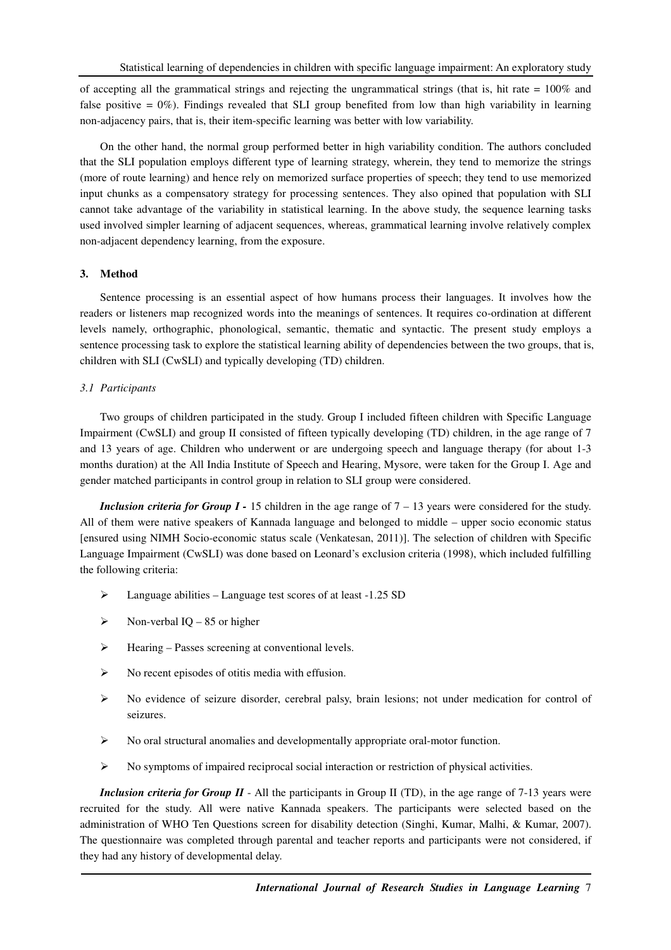of accepting all the grammatical strings and rejecting the ungrammatical strings (that is, hit rate = 100% and false positive =  $0\%$ ). Findings revealed that SLI group benefited from low than high variability in learning non-adjacency pairs, that is, their item-specific learning was better with low variability.

On the other hand, the normal group performed better in high variability condition. The authors concluded that the SLI population employs different type of learning strategy, wherein, they tend to memorize the strings (more of route learning) and hence rely on memorized surface properties of speech; they tend to use memorized input chunks as a compensatory strategy for processing sentences. They also opined that population with SLI cannot take advantage of the variability in statistical learning. In the above study, the sequence learning tasks used involved simpler learning of adjacent sequences, whereas, grammatical learning involve relatively complex non-adjacent dependency learning, from the exposure.

### **3. Method**

Sentence processing is an essential aspect of how humans process their languages. It involves how the readers or listeners map recognized words into the meanings of sentences. It requires co-ordination at different levels namely, orthographic, phonological, semantic, thematic and syntactic. The present study employs a sentence processing task to explore the statistical learning ability of dependencies between the two groups, that is, children with SLI (CwSLI) and typically developing (TD) children.

# *3.1 Participants*

Two groups of children participated in the study. Group I included fifteen children with Specific Language Impairment (CwSLI) and group II consisted of fifteen typically developing (TD) children, in the age range of 7 and 13 years of age. Children who underwent or are undergoing speech and language therapy (for about 1-3 months duration) at the All India Institute of Speech and Hearing, Mysore, were taken for the Group I. Age and gender matched participants in control group in relation to SLI group were considered.

*Inclusion criteria for Group I - 15* children in the age range of  $7 - 13$  years were considered for the study. All of them were native speakers of Kannada language and belonged to middle – upper socio economic status [ensured using NIMH Socio-economic status scale (Venkatesan, 2011)]. The selection of children with Specific Language Impairment (CwSLI) was done based on Leonard's exclusion criteria (1998), which included fulfilling the following criteria:

- $\blacktriangleright$  Language abilities Language test scores of at least -1.25 SD
- $\triangleright$  Non-verbal IQ 85 or higher
- Hearing Passes screening at conventional levels.
- $\triangleright$  No recent episodes of otitis media with effusion.
- $\triangleright$  No evidence of seizure disorder, cerebral palsy, brain lesions; not under medication for control of seizures.
- $\triangleright$  No oral structural anomalies and developmentally appropriate oral-motor function.
- $\triangleright$  No symptoms of impaired reciprocal social interaction or restriction of physical activities.

*Inclusion criteria for Group II* - All the participants in Group II (TD), in the age range of 7-13 years were recruited for the study. All were native Kannada speakers. The participants were selected based on the administration of WHO Ten Questions screen for disability detection (Singhi, Kumar, Malhi, & Kumar, 2007). The questionnaire was completed through parental and teacher reports and participants were not considered, if they had any history of developmental delay.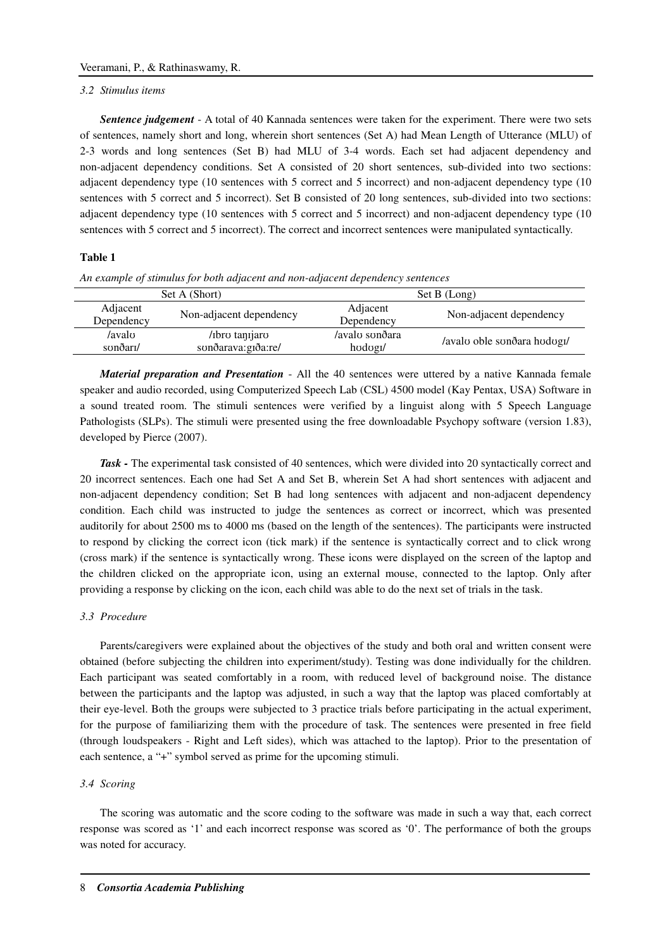#### *3.2 Stimulus items*

*Sentence judgement* - A total of 40 Kannada sentences were taken for the experiment. There were two sets of sentences, namely short and long, wherein short sentences (Set A) had Mean Length of Utterance (MLU) of 2-3 words and long sentences (Set B) had MLU of 3-4 words. Each set had adjacent dependency and non-adjacent dependency conditions. Set A consisted of 20 short sentences, sub-divided into two sections: adjacent dependency type (10 sentences with 5 correct and 5 incorrect) and non-adjacent dependency type (10 sentences with 5 correct and 5 incorrect). Set B consisted of 20 long sentences, sub-divided into two sections: adjacent dependency type (10 sentences with 5 correct and 5 incorrect) and non-adjacent dependency type (10 sentences with 5 correct and 5 incorrect). The correct and incorrect sentences were manipulated syntactically.

# **Table 1**

| Set A (Short)          |                                        | Set B (Long)                           |                             |  |
|------------------------|----------------------------------------|----------------------------------------|-----------------------------|--|
| Adjacent<br>Dependency | Non-adjacent dependency                | Adjacent<br>Dependency                 | Non-adjacent dependency     |  |
| /avalo<br>sonðari/     | /ibro tanijaro<br>sonðarava: giða: re/ | /avalo sonðara<br>hodog <sub>I</sub> / | /avalo oble sonðara hodogi/ |  |

*An example of stimulus for both adjacent and non-adjacent dependency sentences* 

*Material preparation and Presentation* - All the 40 sentences were uttered by a native Kannada female speaker and audio recorded, using Computerized Speech Lab (CSL) 4500 model (Kay Pentax, USA) Software in a sound treated room. The stimuli sentences were verified by a linguist along with 5 Speech Language Pathologists (SLPs). The stimuli were presented using the free downloadable Psychopy software (version 1.83), developed by Pierce (2007).

*Task -* The experimental task consisted of 40 sentences, which were divided into 20 syntactically correct and 20 incorrect sentences. Each one had Set A and Set B, wherein Set A had short sentences with adjacent and non-adjacent dependency condition; Set B had long sentences with adjacent and non-adjacent dependency condition. Each child was instructed to judge the sentences as correct or incorrect, which was presented auditorily for about 2500 ms to 4000 ms (based on the length of the sentences). The participants were instructed to respond by clicking the correct icon (tick mark) if the sentence is syntactically correct and to click wrong (cross mark) if the sentence is syntactically wrong. These icons were displayed on the screen of the laptop and the children clicked on the appropriate icon, using an external mouse, connected to the laptop. Only after providing a response by clicking on the icon, each child was able to do the next set of trials in the task.

### *3.3 Procedure*

Parents/caregivers were explained about the objectives of the study and both oral and written consent were obtained (before subjecting the children into experiment/study). Testing was done individually for the children. Each participant was seated comfortably in a room, with reduced level of background noise. The distance between the participants and the laptop was adjusted, in such a way that the laptop was placed comfortably at their eye-level. Both the groups were subjected to 3 practice trials before participating in the actual experiment, for the purpose of familiarizing them with the procedure of task. The sentences were presented in free field (through loudspeakers - Right and Left sides), which was attached to the laptop). Prior to the presentation of each sentence, a "+" symbol served as prime for the upcoming stimuli.

### *3.4 Scoring*

The scoring was automatic and the score coding to the software was made in such a way that, each correct response was scored as '1' and each incorrect response was scored as '0'. The performance of both the groups was noted for accuracy.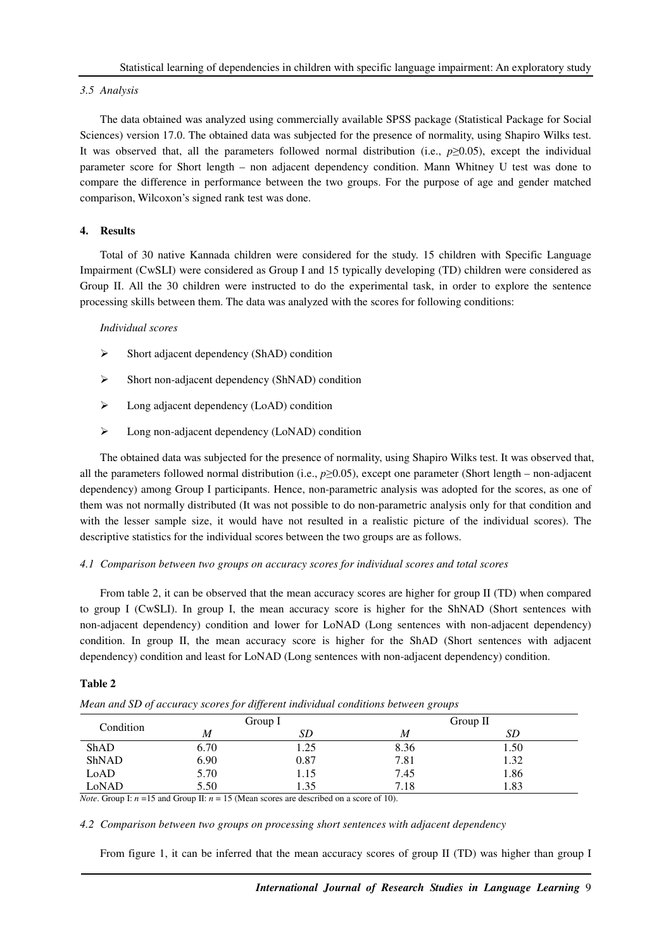#### *3.5 Analysis*

The data obtained was analyzed using commercially available SPSS package (Statistical Package for Social Sciences) version 17.0. The obtained data was subjected for the presence of normality, using Shapiro Wilks test. It was observed that, all the parameters followed normal distribution (i.e.,  $p\geq 0.05$ ), except the individual parameter score for Short length – non adjacent dependency condition. Mann Whitney U test was done to compare the difference in performance between the two groups. For the purpose of age and gender matched comparison, Wilcoxon's signed rank test was done.

# **4. Results**

Total of 30 native Kannada children were considered for the study. 15 children with Specific Language Impairment (CwSLI) were considered as Group I and 15 typically developing (TD) children were considered as Group II. All the 30 children were instructed to do the experimental task, in order to explore the sentence processing skills between them. The data was analyzed with the scores for following conditions:

#### *Individual scores*

- $\triangleright$  Short adjacent dependency (ShAD) condition
- $\triangleright$  Short non-adjacent dependency (ShNAD) condition
- $\triangleright$  Long adjacent dependency (LoAD) condition
- Long non-adjacent dependency (LoNAD) condition

The obtained data was subjected for the presence of normality, using Shapiro Wilks test. It was observed that, all the parameters followed normal distribution (i.e., *p*≥0.05), except one parameter (Short length – non-adjacent dependency) among Group I participants. Hence, non-parametric analysis was adopted for the scores, as one of them was not normally distributed (It was not possible to do non-parametric analysis only for that condition and with the lesser sample size, it would have not resulted in a realistic picture of the individual scores). The descriptive statistics for the individual scores between the two groups are as follows.

### *4.1 Comparison between two groups on accuracy scores for individual scores and total scores*

From table 2, it can be observed that the mean accuracy scores are higher for group II (TD) when compared to group I (CwSLI). In group I, the mean accuracy score is higher for the ShNAD (Short sentences with non-adjacent dependency) condition and lower for LoNAD (Long sentences with non-adjacent dependency) condition. In group II, the mean accuracy score is higher for the ShAD (Short sentences with adjacent dependency) condition and least for LoNAD (Long sentences with non-adjacent dependency) condition.

# **Table 2**

| Condition   | Group $I$        |      | Group II |      |  |
|-------------|------------------|------|----------|------|--|
|             | $\boldsymbol{M}$ | SD   | M        | SD   |  |
| <b>ShAD</b> | 6.70             | 1.25 | 8.36     | 1.50 |  |
| ShNAD       | 6.90             | 0.87 | 7.81     | 1.32 |  |
| LoAD        | 5.70             | 1.15 | 7.45     | 1.86 |  |
| LoNAD       | 5.50             | 1.35 | 7.18     | 1.83 |  |

*Mean and SD of accuracy scores for different individual conditions between groups* 

*Note*. Group I:  $n = 15$  and Group II:  $n = 15$  (Mean scores are described on a score of 10).

#### *4.2 Comparison between two groups on processing short sentences with adjacent dependency*

From figure 1, it can be inferred that the mean accuracy scores of group II (TD) was higher than group I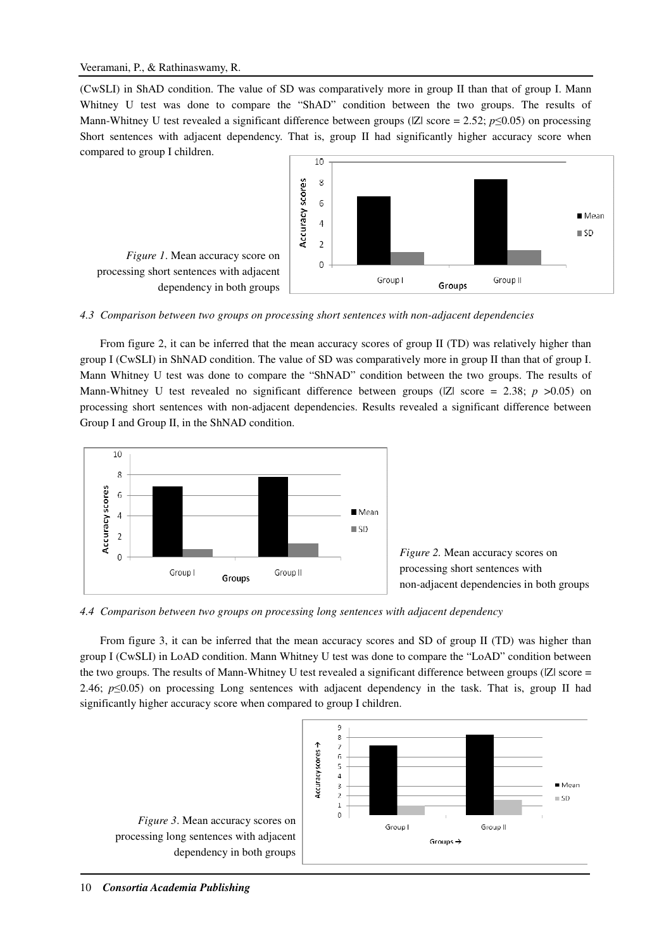(CwSLI) in ShAD condition. The value of SD was comparatively more in group II than that of group I. Mann Whitney U test was done to compare the "ShAD" condition between the two groups. The results of Mann-Whitney U test revealed a significant difference between groups ( $|Z|$  score = 2.52; *p*≤0.05) on processing Short sentences with adjacent dependency. That is, group II had significantly higher accuracy score when compared to group I children.



*4.3 Comparison between two groups on processing short sentences with non-adjacent dependencies* 

From figure 2, it can be inferred that the mean accuracy scores of group II (TD) was relatively higher than group I (CwSLI) in ShNAD condition. The value of SD was comparatively more in group II than that of group I. Mann Whitney U test was done to compare the "ShNAD" condition between the two groups. The results of Mann-Whitney U test revealed no significant difference between groups ( $|Z|$  score = 2.38; *p* >0.05) on processing short sentences with non-adjacent dependencies. Results revealed a significant difference between Group I and Group II, in the ShNAD condition.



*Figure 2.* Mean accuracy scores on processing short sentences with non-adjacent dependencies in both groups

*4.4 Comparison between two groups on processing long sentences with adjacent dependency* 

From figure 3, it can be inferred that the mean accuracy scores and SD of group II (TD) was higher than group I (CwSLI) in LoAD condition. Mann Whitney U test was done to compare the "LoAD" condition between the two groups. The results of Mann-Whitney U test revealed a significant difference between groups (IZI score = 2.46; *p*≤0.05) on processing Long sentences with adjacent dependency in the task. That is, group II had significantly higher accuracy score when compared to group I children.

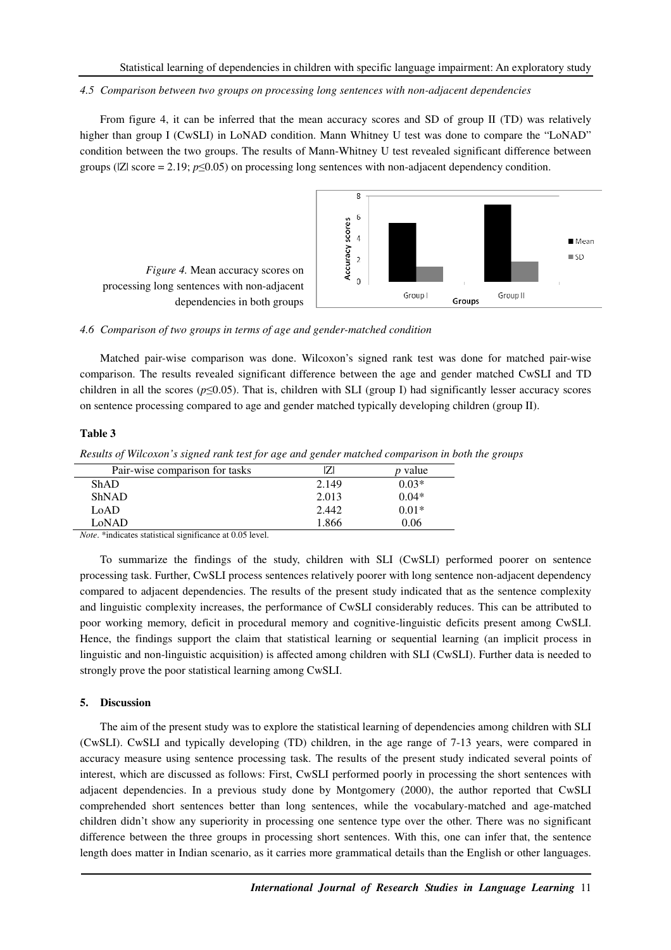## *4.5 Comparison between two groups on processing long sentences with non-adjacent dependencies*

From figure 4, it can be inferred that the mean accuracy scores and SD of group II (TD) was relatively higher than group I (CwSLI) in LoNAD condition. Mann Whitney U test was done to compare the "LoNAD" condition between the two groups. The results of Mann-Whitney U test revealed significant difference between groups ( $|Z|$  score = 2.19;  $p \le 0.05$ ) on processing long sentences with non-adjacent dependency condition.





#### *4.6 Comparison of two groups in terms of age and gender-matched condition*

Matched pair-wise comparison was done. Wilcoxon's signed rank test was done for matched pair-wise comparison. The results revealed significant difference between the age and gender matched CwSLI and TD children in all the scores ( $p \le 0.05$ ). That is, children with SLI (group I) had significantly lesser accuracy scores on sentence processing compared to age and gender matched typically developing children (group II).

### **Table 3**

*Results of Wilcoxon's signed rank test for age and gender matched comparison in both the groups* 

|       | <i>p</i> value |
|-------|----------------|
| 2.149 | $0.03*$        |
| 2.013 | $0.04*$        |
| 2.442 | $0.01*$        |
| 1.866 | 0.06           |
|       |                |

*Note*. \*indicates statistical significance at 0.05 level.

To summarize the findings of the study, children with SLI (CwSLI) performed poorer on sentence processing task. Further, CwSLI process sentences relatively poorer with long sentence non-adjacent dependency compared to adjacent dependencies. The results of the present study indicated that as the sentence complexity and linguistic complexity increases, the performance of CwSLI considerably reduces. This can be attributed to poor working memory, deficit in procedural memory and cognitive-linguistic deficits present among CwSLI. Hence, the findings support the claim that statistical learning or sequential learning (an implicit process in linguistic and non-linguistic acquisition) is affected among children with SLI (CwSLI). Further data is needed to strongly prove the poor statistical learning among CwSLI.

### **5. Discussion**

The aim of the present study was to explore the statistical learning of dependencies among children with SLI (CwSLI). CwSLI and typically developing (TD) children, in the age range of 7-13 years, were compared in accuracy measure using sentence processing task. The results of the present study indicated several points of interest, which are discussed as follows: First, CwSLI performed poorly in processing the short sentences with adjacent dependencies. In a previous study done by Montgomery (2000), the author reported that CwSLI comprehended short sentences better than long sentences, while the vocabulary-matched and age-matched children didn't show any superiority in processing one sentence type over the other. There was no significant difference between the three groups in processing short sentences. With this, one can infer that, the sentence length does matter in Indian scenario, as it carries more grammatical details than the English or other languages.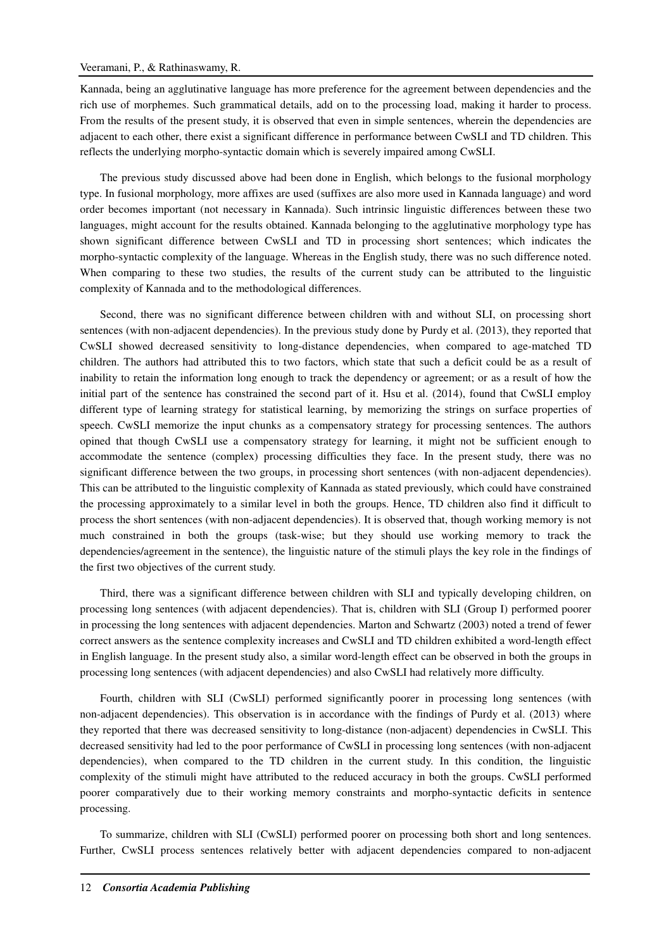Kannada, being an agglutinative language has more preference for the agreement between dependencies and the rich use of morphemes. Such grammatical details, add on to the processing load, making it harder to process. From the results of the present study, it is observed that even in simple sentences, wherein the dependencies are adjacent to each other, there exist a significant difference in performance between CwSLI and TD children. This reflects the underlying morpho-syntactic domain which is severely impaired among CwSLI.

The previous study discussed above had been done in English, which belongs to the fusional morphology type. In fusional morphology, more affixes are used (suffixes are also more used in Kannada language) and word order becomes important (not necessary in Kannada). Such intrinsic linguistic differences between these two languages, might account for the results obtained. Kannada belonging to the agglutinative morphology type has shown significant difference between CwSLI and TD in processing short sentences; which indicates the morpho-syntactic complexity of the language. Whereas in the English study, there was no such difference noted. When comparing to these two studies, the results of the current study can be attributed to the linguistic complexity of Kannada and to the methodological differences.

Second, there was no significant difference between children with and without SLI, on processing short sentences (with non-adjacent dependencies). In the previous study done by Purdy et al. (2013), they reported that CwSLI showed decreased sensitivity to long-distance dependencies, when compared to age-matched TD children. The authors had attributed this to two factors, which state that such a deficit could be as a result of inability to retain the information long enough to track the dependency or agreement; or as a result of how the initial part of the sentence has constrained the second part of it. Hsu et al. (2014), found that CwSLI employ different type of learning strategy for statistical learning, by memorizing the strings on surface properties of speech. CwSLI memorize the input chunks as a compensatory strategy for processing sentences. The authors opined that though CwSLI use a compensatory strategy for learning, it might not be sufficient enough to accommodate the sentence (complex) processing difficulties they face. In the present study, there was no significant difference between the two groups, in processing short sentences (with non-adjacent dependencies). This can be attributed to the linguistic complexity of Kannada as stated previously, which could have constrained the processing approximately to a similar level in both the groups. Hence, TD children also find it difficult to process the short sentences (with non-adjacent dependencies). It is observed that, though working memory is not much constrained in both the groups (task-wise; but they should use working memory to track the dependencies/agreement in the sentence), the linguistic nature of the stimuli plays the key role in the findings of the first two objectives of the current study.

Third, there was a significant difference between children with SLI and typically developing children, on processing long sentences (with adjacent dependencies). That is, children with SLI (Group I) performed poorer in processing the long sentences with adjacent dependencies. Marton and Schwartz (2003) noted a trend of fewer correct answers as the sentence complexity increases and CwSLI and TD children exhibited a word-length effect in English language. In the present study also, a similar word-length effect can be observed in both the groups in processing long sentences (with adjacent dependencies) and also CwSLI had relatively more difficulty.

Fourth, children with SLI (CwSLI) performed significantly poorer in processing long sentences (with non-adjacent dependencies). This observation is in accordance with the findings of Purdy et al. (2013) where they reported that there was decreased sensitivity to long-distance (non-adjacent) dependencies in CwSLI. This decreased sensitivity had led to the poor performance of CwSLI in processing long sentences (with non-adjacent dependencies), when compared to the TD children in the current study. In this condition, the linguistic complexity of the stimuli might have attributed to the reduced accuracy in both the groups. CwSLI performed poorer comparatively due to their working memory constraints and morpho-syntactic deficits in sentence processing.

To summarize, children with SLI (CwSLI) performed poorer on processing both short and long sentences. Further, CwSLI process sentences relatively better with adjacent dependencies compared to non-adjacent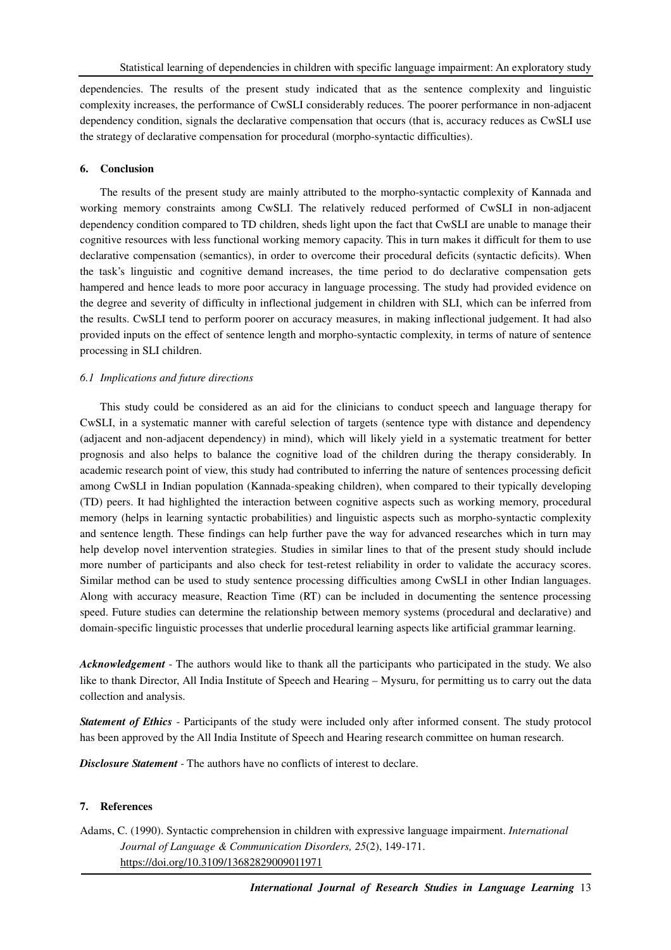dependencies. The results of the present study indicated that as the sentence complexity and linguistic complexity increases, the performance of CwSLI considerably reduces. The poorer performance in non-adjacent dependency condition, signals the declarative compensation that occurs (that is, accuracy reduces as CwSLI use the strategy of declarative compensation for procedural (morpho-syntactic difficulties).

# **6. Conclusion**

The results of the present study are mainly attributed to the morpho-syntactic complexity of Kannada and working memory constraints among CwSLI. The relatively reduced performed of CwSLI in non-adjacent dependency condition compared to TD children, sheds light upon the fact that CwSLI are unable to manage their cognitive resources with less functional working memory capacity. This in turn makes it difficult for them to use declarative compensation (semantics), in order to overcome their procedural deficits (syntactic deficits). When the task's linguistic and cognitive demand increases, the time period to do declarative compensation gets hampered and hence leads to more poor accuracy in language processing. The study had provided evidence on the degree and severity of difficulty in inflectional judgement in children with SLI, which can be inferred from the results. CwSLI tend to perform poorer on accuracy measures, in making inflectional judgement. It had also provided inputs on the effect of sentence length and morpho-syntactic complexity, in terms of nature of sentence processing in SLI children.

# *6.1 Implications and future directions*

This study could be considered as an aid for the clinicians to conduct speech and language therapy for CwSLI, in a systematic manner with careful selection of targets (sentence type with distance and dependency (adjacent and non-adjacent dependency) in mind), which will likely yield in a systematic treatment for better prognosis and also helps to balance the cognitive load of the children during the therapy considerably. In academic research point of view, this study had contributed to inferring the nature of sentences processing deficit among CwSLI in Indian population (Kannada-speaking children), when compared to their typically developing (TD) peers. It had highlighted the interaction between cognitive aspects such as working memory, procedural memory (helps in learning syntactic probabilities) and linguistic aspects such as morpho-syntactic complexity and sentence length. These findings can help further pave the way for advanced researches which in turn may help develop novel intervention strategies. Studies in similar lines to that of the present study should include more number of participants and also check for test-retest reliability in order to validate the accuracy scores. Similar method can be used to study sentence processing difficulties among CwSLI in other Indian languages. Along with accuracy measure, Reaction Time (RT) can be included in documenting the sentence processing speed. Future studies can determine the relationship between memory systems (procedural and declarative) and domain-specific linguistic processes that underlie procedural learning aspects like artificial grammar learning.

*Acknowledgement* - The authors would like to thank all the participants who participated in the study. We also like to thank Director, All India Institute of Speech and Hearing – Mysuru, for permitting us to carry out the data collection and analysis.

*Statement of Ethics* - Participants of the study were included only after informed consent. The study protocol has been approved by the All India Institute of Speech and Hearing research committee on human research.

*Disclosure Statement* - The authors have no conflicts of interest to declare.

### **7. References**

Adams, C. (1990). Syntactic comprehension in children with expressive language impairment. *International Journal of Language & Communication Disorders, 25*(2), 149-171. https://doi.org/10.3109/13682829009011971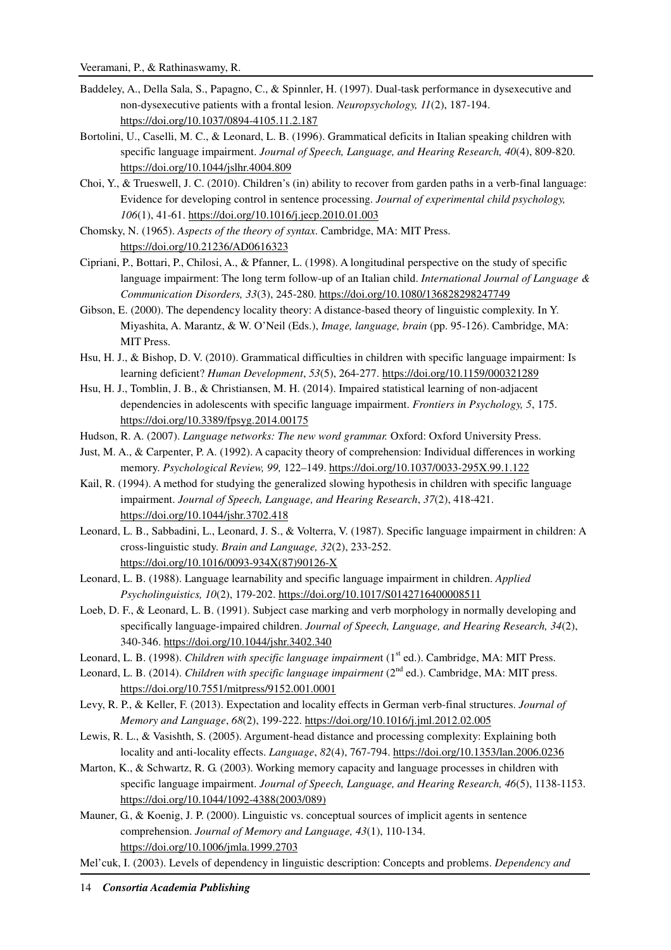- Baddeley, A., Della Sala, S., Papagno, C., & Spinnler, H. (1997). Dual-task performance in dysexecutive and non-dysexecutive patients with a frontal lesion. *Neuropsychology, 11*(2), 187-194. https://doi.org/10.1037/0894-4105.11.2.187
- Bortolini, U., Caselli, M. C., & Leonard, L. B. (1996). Grammatical deficits in Italian speaking children with specific language impairment. *Journal of Speech, Language, and Hearing Research, 40*(4), 809-820. https://doi.org/10.1044/jslhr.4004.809
- Choi, Y., & Trueswell, J. C. (2010). Children's (in) ability to recover from garden paths in a verb-final language: Evidence for developing control in sentence processing. *Journal of experimental child psychology, 106*(1), 41-61. https://doi.org/10.1016/j.jecp.2010.01.003
- Chomsky, N. (1965). *Aspects of the theory of syntax*. Cambridge, MA: MIT Press. https://doi.org/10.21236/AD0616323
- Cipriani, P., Bottari, P., Chilosi, A., & Pfanner, L. (1998). A longitudinal perspective on the study of specific language impairment: The long term follow-up of an Italian child. *International Journal of Language & Communication Disorders, 33*(3), 245-280. https://doi.org/10.1080/136828298247749
- Gibson, E. (2000). The dependency locality theory: A distance-based theory of linguistic complexity. In Y. Miyashita, A. Marantz, & W. O'Neil (Eds.), *Image, language, brain* (pp. 95-126). Cambridge, MA: MIT Press.
- Hsu, H. J., & Bishop, D. V. (2010). Grammatical difficulties in children with specific language impairment: Is learning deficient? *Human Development*, *53*(5), 264-277. https://doi.org/10.1159/000321289
- Hsu, H. J., Tomblin, J. B., & Christiansen, M. H. (2014). Impaired statistical learning of non-adjacent dependencies in adolescents with specific language impairment. *Frontiers in Psychology, 5*, 175. https://doi.org/10.3389/fpsyg.2014.00175
- Hudson, R. A. (2007). *Language networks: The new word grammar.* Oxford: Oxford University Press.
- Just, M. A., & Carpenter, P. A. (1992). A capacity theory of comprehension: Individual differences in working memory. *Psychological Review, 99,* 122–149. https://doi.org/10.1037/0033-295X.99.1.122
- Kail, R. (1994). A method for studying the generalized slowing hypothesis in children with specific language impairment. *Journal of Speech, Language, and Hearing Research*, *37*(2), 418-421. https://doi.org/10.1044/jshr.3702.418
- Leonard, L. B., Sabbadini, L., Leonard, J. S., & Volterra, V. (1987). Specific language impairment in children: A cross-linguistic study. *Brain and Language, 32*(2), 233-252. https://doi.org/10.1016/0093-934X(87)90126-X
- Leonard, L. B. (1988). Language learnability and specific language impairment in children. *Applied Psycholinguistics, 10*(2), 179-202. https://doi.org/10.1017/S0142716400008511
- Loeb, D. F., & Leonard, L. B. (1991). Subject case marking and verb morphology in normally developing and specifically language-impaired children. *Journal of Speech, Language, and Hearing Research, 34*(2), 340-346. https://doi.org/10.1044/jshr.3402.340
- Leonard, L. B. (1998). *Children with specific language impairment* (1<sup>st</sup> ed.). Cambridge, MA: MIT Press.
- Leonard, L. B. (2014). *Children with specific language impairment* (2<sup>nd</sup> ed.). Cambridge, MA: MIT press. https://doi.org/10.7551/mitpress/9152.001.0001
- Levy, R. P., & Keller, F. (2013). Expectation and locality effects in German verb-final structures. *Journal of Memory and Language*, *68*(2), 199-222. https://doi.org/10.1016/j.jml.2012.02.005
- Lewis, R. L., & Vasishth, S. (2005). Argument-head distance and processing complexity: Explaining both locality and anti-locality effects. *Language*, *82*(4), 767-794. https://doi.org/10.1353/lan.2006.0236
- Marton, K., & Schwartz, R. G. (2003). Working memory capacity and language processes in children with specific language impairment. *Journal of Speech, Language, and Hearing Research, 46*(5), 1138-1153. https://doi.org/10.1044/1092-4388(2003/089)
- Mauner, G., & Koenig, J. P. (2000). Linguistic vs. conceptual sources of implicit agents in sentence comprehension. *Journal of Memory and Language, 43*(1), 110-134. https://doi.org/10.1006/jmla.1999.2703
- Mel'cuk, I. (2003). Levels of dependency in linguistic description: Concepts and problems. *Dependency and*